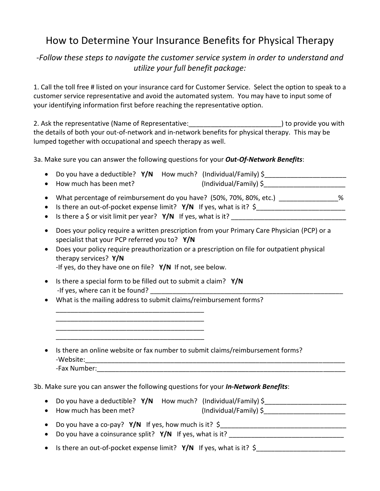## How to Determine Your Insurance Benefits for Physical Therapy

## *-Follow these steps to navigate the customer service system in order to understand and utilize your full benefit package:*

1. Call the toll free # listed on your insurance card for Customer Service. Select the option to speak to a customer service representative and avoid the automated system. You may have to input some of your identifying information first before reaching the representative option.

2. Ask the representative (Name of Representative: example 2. Ask the representative have not all  $\alpha$ the details of both your out-of-network and in-network benefits for physical therapy. This may be lumped together with occupational and speech therapy as well.

3a. Make sure you can answer the following questions for your *Out-Of-Network Benefits*:

|                                                                                                                                                            | • Do you have a deductible? $Y/N$ How much? (Individual/Family) $\zeta$ |  |
|------------------------------------------------------------------------------------------------------------------------------------------------------------|-------------------------------------------------------------------------|--|
| • How much has been met?                                                                                                                                   | (Individual/Family) \$                                                  |  |
| • What percentage of reimbursement do you have? (50%, 70%, 80%, etc.)<br>%<br>• Is there an out-of-pocket expense limit? $Y/N$ If yes, what is it? $\zeta$ |                                                                         |  |

- Is there a \$ or visit limit per year? **Y/N** If yes, what is it?
- Does your policy require a written prescription from your Primary Care Physician (PCP) or a specialist that your PCP referred you to? **Y/N**
- Does your policy require preauthorization or a prescription on file for outpatient physical therapy services? **Y/N** -If yes, do they have one on file? **Y/N** If not, see below.
- Is there a special form to be filled out to submit a claim? **Y/N** -If yes, where can it be found?

\_\_\_\_\_\_\_\_\_\_\_\_\_\_\_\_\_\_\_\_\_\_\_\_\_\_\_\_\_\_\_\_\_\_\_\_\_\_\_\_ \_\_\_\_\_\_\_\_\_\_\_\_\_\_\_\_\_\_\_\_\_\_\_\_\_\_\_\_\_\_\_\_\_\_\_\_\_\_\_\_ \_\_\_\_\_\_\_\_\_\_\_\_\_\_\_\_\_\_\_\_\_\_\_\_\_\_\_\_\_\_\_\_\_\_\_\_\_\_\_\_ \_\_\_\_\_\_\_\_\_\_\_\_\_\_\_\_\_\_\_\_\_\_\_\_\_\_\_\_\_\_\_\_\_\_\_\_\_\_\_\_

What is the mailing address to submit claims/reimbursement forms?

| • Is there an online website or fax number to submit claims/reimbursement forms?<br>-Website: |  |  |
|-----------------------------------------------------------------------------------------------|--|--|
| -Fax Number:                                                                                  |  |  |

3b. Make sure you can answer the following questions for your *In-Network Benefits*:

| • Do you have a deductible? $Y/N$ How much? (Individual/Family) $\zeta$ |                        |  |
|-------------------------------------------------------------------------|------------------------|--|
| • How much has been met?                                                | (Individual/Family) \$ |  |
|                                                                         |                        |  |

| $\bullet$ Do you have a co-pay? Y/N If yes, now much is it? $\frac{1}{2}$ |
|---------------------------------------------------------------------------|
| • Do you have a coinsurance split? $Y/N$ If yes, what is it?              |

• Is there an out-of-pocket expense limit? **Y/N** If yes, what is it? \$\_\_\_\_\_\_\_\_\_\_\_\_\_\_\_